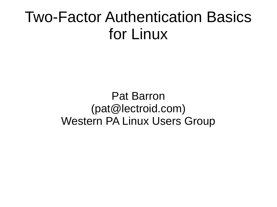#### Two-Factor Authentication Basics for Linux

Pat Barron (pat@lectroid.com) Western PA Linux Users Group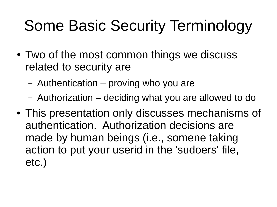# Some Basic Security Terminology

- Two of the most common things we discuss related to security are
	- Authentication proving who you are
	- Authorization deciding what you are allowed to do
- This presentation only discusses mechanisms of authentication. Authorization decisions are made by human beings (i.e., somene taking action to put your userid in the 'sudoers' file, etc.)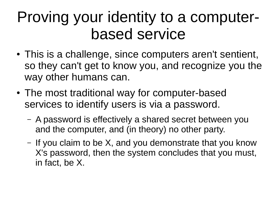#### Proving your identity to a computerbased service

- This is a challenge, since computers aren't sentient, so they can't get to know you, and recognize you the way other humans can.
- The most traditional way for computer-based services to identify users is via a password.
	- A password is effectively a shared secret between you and the computer, and (in theory) no other party.
	- If you claim to be X, and you demonstrate that you know X's password, then the system concludes that you must, in fact, be X.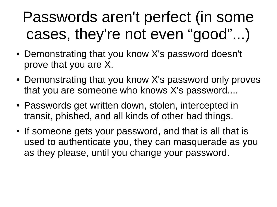## Passwords aren't perfect (in some cases, they're not even "good"...)

- Demonstrating that you know X's password doesn't prove that you are X.
- Demonstrating that you know X's password only proves that you are someone who knows X's password....
- Passwords get written down, stolen, intercepted in transit, phished, and all kinds of other bad things.
- If someone gets your password, and that is all that is used to authenticate you, they can masquerade as you as they please, until you change your password.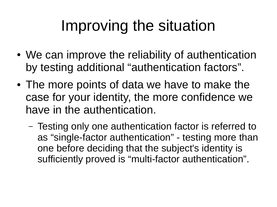## Improving the situation

- We can improve the reliability of authentication by testing additional "authentication factors".
- The more points of data we have to make the case for your identity, the more confidence we have in the authentication.
	- Testing only one authentication factor is referred to as "single-factor authentication" - testing more than one before deciding that the subject's identity is sufficiently proved is "multi-factor authentication".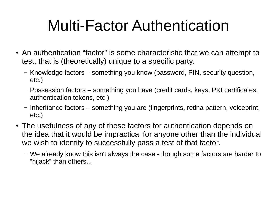## Multi-Factor Authentication

- An authentication "factor" is some characteristic that we can attempt to test, that is (theoretically) unique to a specific party.
	- Knowledge factors something you know (password, PIN, security question, etc.)
	- Possession factors something you have (credit cards, keys, PKI certificates, authentication tokens, etc.)
	- Inheritance factors something you are (fingerprints, retina pattern, voiceprint, etc.)
- The usefulness of any of these factors for authentication depends on the idea that it would be impractical for anyone other than the individual we wish to identify to successfully pass a test of that factor.
	- We already know this isn't always the case though some factors are harder to "hijack" than others...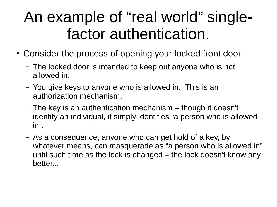#### An example of "real world" singlefactor authentication.

- Consider the process of opening your locked front door
	- The locked door is intended to keep out anyone who is not allowed in.
	- You give keys to anyone who is allowed in. This is an authorization mechanism.
	- The key is an authentication mechanism though it doesn't identify an individual, it simply identifies "a person who is allowed in".
	- As a consequence, anyone who can get hold of a key, by whatever means, can masquerade as "a person who is allowed in" until such time as the lock is changed – the lock doesn't know any better...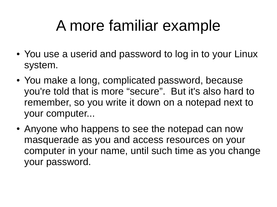# A more familiar example

- You use a userid and password to log in to your Linux system.
- You make a long, complicated password, because you're told that is more "secure". But it's also hard to remember, so you write it down on a notepad next to your computer...
- Anyone who happens to see the notepad can now masquerade as you and access resources on your computer in your name, until such time as you change your password.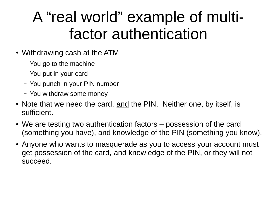## A "real world" example of multifactor authentication

- Withdrawing cash at the ATM
	- You go to the machine
	- You put in your card
	- You punch in your PIN number
	- You withdraw some money
- Note that we need the card, and the PIN. Neither one, by itself, is sufficient.
- We are testing two authentication factors possession of the card (something you have), and knowledge of the PIN (something you know).
- Anyone who wants to masquerade as you to access your account must get possession of the card, and knowledge of the PIN, or they will not succeed.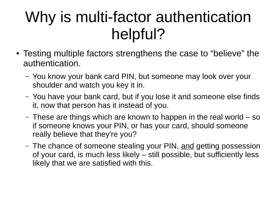## Why is multi-factor authentication helpful?

- Testing multiple factors strengthens the case to "believe" the authentication.
	- You know your bank card PIN, but someone may look over your shoulder and watch you key it in.
	- You have your bank card, but if you lose it and someone else finds it, now that person has it instead of you.
	- These are things which are known to happen in the real world so if someone knows your PIN, or has your card, should someone really believe that they're you?
	- The chance of someone stealing your PIN, and getting possession of your card, is much less likely – still possible, but sufficiently less likely that we are satisfied with this.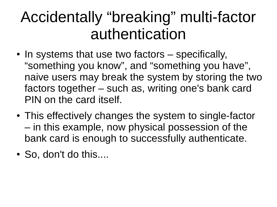#### Accidentally "breaking" multi-factor authentication

- In systems that use two factors specifically, "something you know", and "something you have", naive users may break the system by storing the two factors together – such as, writing one's bank card PIN on the card itself.
- This effectively changes the system to single-factor – in this example, now physical possession of the bank card is enough to successfully authenticate.
- So, don't do this....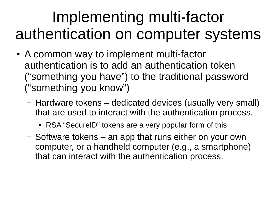## Implementing multi-factor authentication on computer systems

- A common way to implement multi-factor authentication is to add an authentication token ("something you have") to the traditional password ("something you know")
	- Hardware tokens dedicated devices (usually very small) that are used to interact with the authentication process.
		- RSA "SecureID" tokens are a very popular form of this
	- Software tokens an app that runs either on your own computer, or a handheld computer (e.g., a smartphone) that can interact with the authentication process.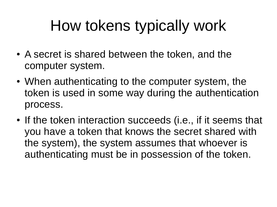# How tokens typically work

- A secret is shared between the token, and the computer system.
- When authenticating to the computer system, the token is used in some way during the authentication process.
- If the token interaction succeeds (i.e., if it seems that you have a token that knows the secret shared with the system), the system assumes that whoever is authenticating must be in possession of the token.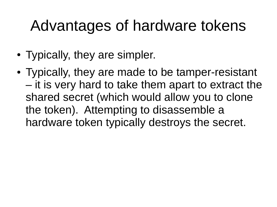### Advantages of hardware tokens

- Typically, they are simpler.
- Typically, they are made to be tamper-resistant – it is very hard to take them apart to extract the shared secret (which would allow you to clone the token). Attempting to disassemble a hardware token typically destroys the secret.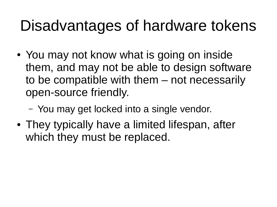#### Disadvantages of hardware tokens

- You may not know what is going on inside them, and may not be able to design software to be compatible with them – not necessarily open-source friendly.
	- You may get locked into a single vendor.
- They typically have a limited lifespan, after which they must be replaced.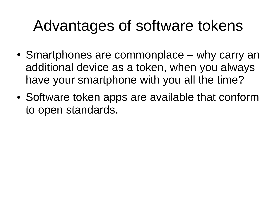## Advantages of software tokens

- Smartphones are commonplace why carry an additional device as a token, when you always have your smartphone with you all the time?
- Software token apps are available that conform to open standards.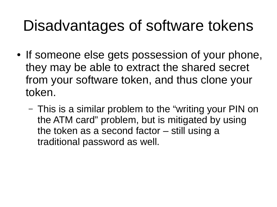#### Disadvantages of software tokens

- If someone else gets possession of your phone, they may be able to extract the shared secret from your software token, and thus clone your token.
	- This is a similar problem to the "writing your PIN on the ATM card" problem, but is mitigated by using the token as a second factor – still using a traditional password as well.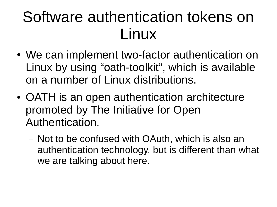#### Software authentication tokens on Linux

- We can implement two-factor authentication on Linux by using "oath-toolkit", which is available on a number of Linux distributions.
- OATH is an open authentication architecture promoted by The Initiative for Open Authentication.
	- Not to be confused with OAuth, which is also an authentication technology, but is different than what we are talking about here.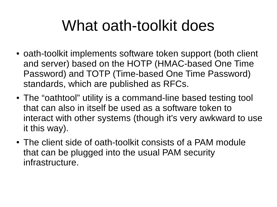## What oath-toolkit does

- oath-toolkit implements software token support (both client and server) based on the HOTP (HMAC-based One Time Password) and TOTP (Time-based One Time Password) standards, which are published as RFCs.
- The "oathtool" utility is a command-line based testing tool that can also in itself be used as a software token to interact with other systems (though it's very awkward to use it this way).
- The client side of oath-toolkit consists of a PAM module that can be plugged into the usual PAM security infrastructure.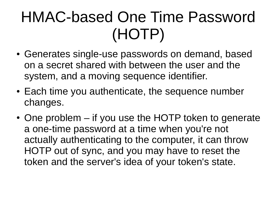# HMAC-based One Time Password (HOTP)

- Generates single-use passwords on demand, based on a secret shared with between the user and the system, and a moving sequence identifier.
- Each time you authenticate, the sequence number changes.
- $\bullet$  One problem if you use the HOTP token to generate a one-time password at a time when you're not actually authenticating to the computer, it can throw HOTP out of sync, and you may have to reset the token and the server's idea of your token's state.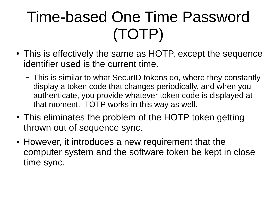# Time-based One Time Password (TOTP)

- This is effectively the same as HOTP, except the sequence identifier used is the current time.
	- This is similar to what SecurID tokens do, where they constantly display a token code that changes periodically, and when you authenticate, you provide whatever token code is displayed at that moment. TOTP works in this way as well.
- This eliminates the problem of the HOTP token getting thrown out of sequence sync.
- However, it introduces a new requirement that the computer system and the software token be kept in close time sync.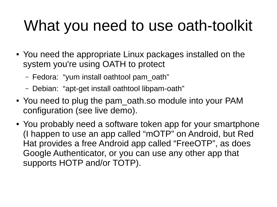# What you need to use oath-toolkit

- You need the appropriate Linux packages installed on the system you're using OATH to protect
	- Fedora: "yum install oathtool pam\_oath"
	- Debian: "apt-get install oathtool libpam-oath"
- You need to plug the pam oath.so module into your PAM configuration (see live demo).
- You probably need a software token app for your smartphone (I happen to use an app called "mOTP" on Android, but Red Hat provides a free Android app called "FreeOTP", as does Google Authenticator, or you can use any other app that supports HOTP and/or TOTP).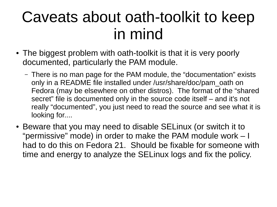#### Caveats about oath-toolkit to keep in mind

- The biggest problem with oath-toolkit is that it is very poorly documented, particularly the PAM module.
	- There is no man page for the PAM module, the "documentation" exists only in a README file installed under /usr/share/doc/pam\_oath on Fedora (may be elsewhere on other distros). The format of the "shared secret" file is documented only in the source code itself – and it's not really "documented", you just need to read the source and see what it is looking for....
- Beware that you may need to disable SELinux (or switch it to "permissive" mode) in order to make the PAM module work – I had to do this on Fedora 21. Should be fixable for someone with time and energy to analyze the SELinux logs and fix the policy.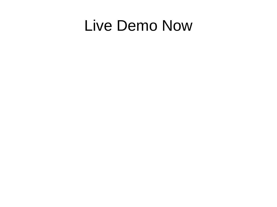#### Live Demo Now